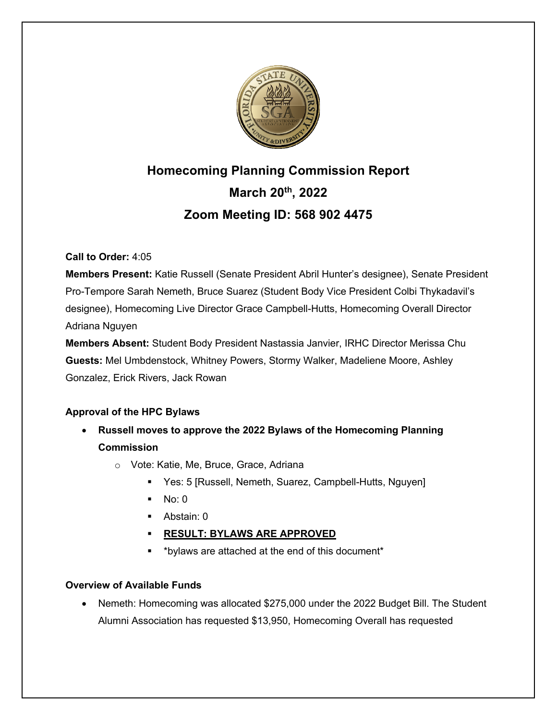

# **Homecoming Planning Commission Report March 20th, 2022 Zoom Meeting ID: 568 902 4475**

# **Call to Order:** 4:05

**Members Present:** Katie Russell (Senate President Abril Hunter's designee), Senate President Pro-Tempore Sarah Nemeth, Bruce Suarez (Student Body Vice President Colbi Thykadavil's designee), Homecoming Live Director Grace Campbell-Hutts, Homecoming Overall Director Adriana Nguyen

**Members Absent:** Student Body President Nastassia Janvier, IRHC Director Merissa Chu **Guests:** Mel Umbdenstock, Whitney Powers, Stormy Walker, Madeliene Moore, Ashley Gonzalez, Erick Rivers, Jack Rowan

# **Approval of the HPC Bylaws**

- **Russell moves to approve the 2022 Bylaws of the Homecoming Planning Commission**
	- o Vote: Katie, Me, Bruce, Grace, Adriana
		- Yes: 5 [Russell, Nemeth, Suarez, Campbell-Hutts, Nguyen]
		- $\blacksquare$  No: 0
		- Abstain: 0
		- § **RESULT: BYLAWS ARE APPROVED**
		- § \*bylaws are attached at the end of this document\*

# **Overview of Available Funds**

• Nemeth: Homecoming was allocated \$275,000 under the 2022 Budget Bill. The Student Alumni Association has requested \$13,950, Homecoming Overall has requested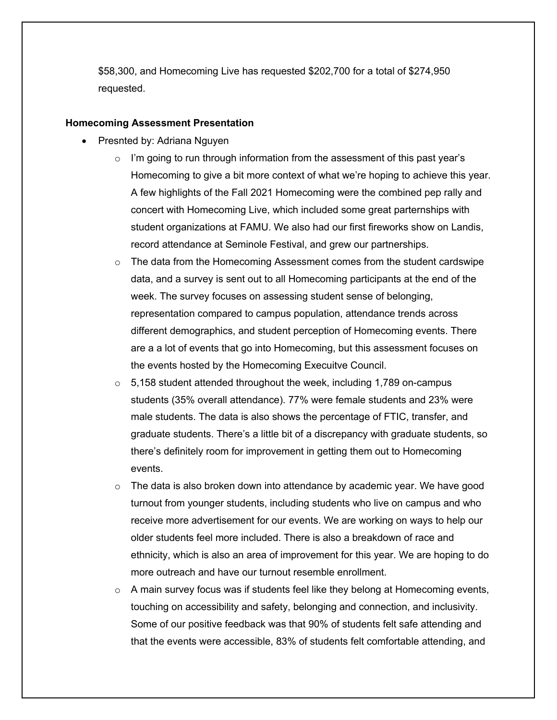\$58,300, and Homecoming Live has requested \$202,700 for a total of \$274,950 requested.

#### **Homecoming Assessment Presentation**

- Presnted by: Adriana Nguyen
	- $\circ$  I'm going to run through information from the assessment of this past year's Homecoming to give a bit more context of what we're hoping to achieve this year. A few highlights of the Fall 2021 Homecoming were the combined pep rally and concert with Homecoming Live, which included some great parternships with student organizations at FAMU. We also had our first fireworks show on Landis, record attendance at Seminole Festival, and grew our partnerships.
	- $\circ$  The data from the Homecoming Assessment comes from the student cardswipe data, and a survey is sent out to all Homecoming participants at the end of the week. The survey focuses on assessing student sense of belonging, representation compared to campus population, attendance trends across different demographics, and student perception of Homecoming events. There are a a lot of events that go into Homecoming, but this assessment focuses on the events hosted by the Homecoming Execuitve Council.
	- $\circ$  5,158 student attended throughout the week, including 1,789 on-campus students (35% overall attendance). 77% were female students and 23% were male students. The data is also shows the percentage of FTIC, transfer, and graduate students. There's a little bit of a discrepancy with graduate students, so there's definitely room for improvement in getting them out to Homecoming events.
	- $\circ$  The data is also broken down into attendance by academic year. We have good turnout from younger students, including students who live on campus and who receive more advertisement for our events. We are working on ways to help our older students feel more included. There is also a breakdown of race and ethnicity, which is also an area of improvement for this year. We are hoping to do more outreach and have our turnout resemble enrollment.
	- $\circ$  A main survey focus was if students feel like they belong at Homecoming events, touching on accessibility and safety, belonging and connection, and inclusivity. Some of our positive feedback was that 90% of students felt safe attending and that the events were accessible, 83% of students felt comfortable attending, and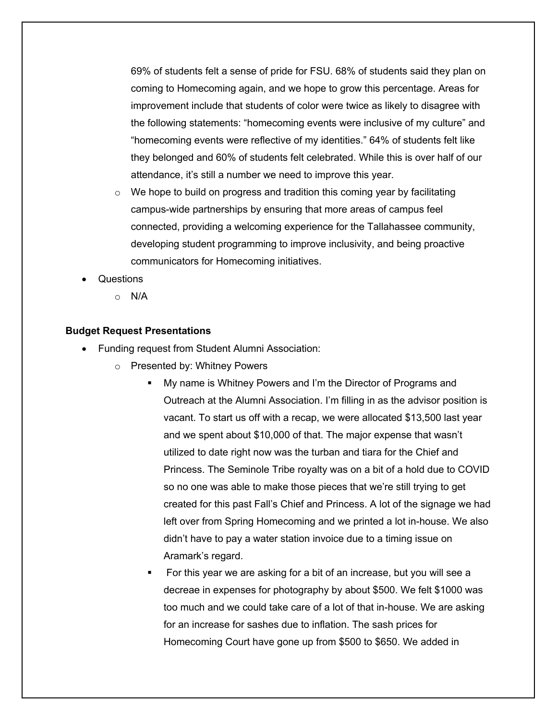69% of students felt a sense of pride for FSU. 68% of students said they plan on coming to Homecoming again, and we hope to grow this percentage. Areas for improvement include that students of color were twice as likely to disagree with the following statements: "homecoming events were inclusive of my culture" and "homecoming events were reflective of my identities." 64% of students felt like they belonged and 60% of students felt celebrated. While this is over half of our attendance, it's still a number we need to improve this year.

- $\circ$  We hope to build on progress and tradition this coming year by facilitating campus-wide partnerships by ensuring that more areas of campus feel connected, providing a welcoming experience for the Tallahassee community, developing student programming to improve inclusivity, and being proactive communicators for Homecoming initiatives.
- Questions
	- o N/A

#### **Budget Request Presentations**

- Funding request from Student Alumni Association:
	- o Presented by: Whitney Powers
		- § My name is Whitney Powers and I'm the Director of Programs and Outreach at the Alumni Association. I'm filling in as the advisor position is vacant. To start us off with a recap, we were allocated \$13,500 last year and we spent about \$10,000 of that. The major expense that wasn't utilized to date right now was the turban and tiara for the Chief and Princess. The Seminole Tribe royalty was on a bit of a hold due to COVID so no one was able to make those pieces that we're still trying to get created for this past Fall's Chief and Princess. A lot of the signage we had left over from Spring Homecoming and we printed a lot in-house. We also didn't have to pay a water station invoice due to a timing issue on Aramark's regard.
		- § For this year we are asking for a bit of an increase, but you will see a decreae in expenses for photography by about \$500. We felt \$1000 was too much and we could take care of a lot of that in-house. We are asking for an increase for sashes due to inflation. The sash prices for Homecoming Court have gone up from \$500 to \$650. We added in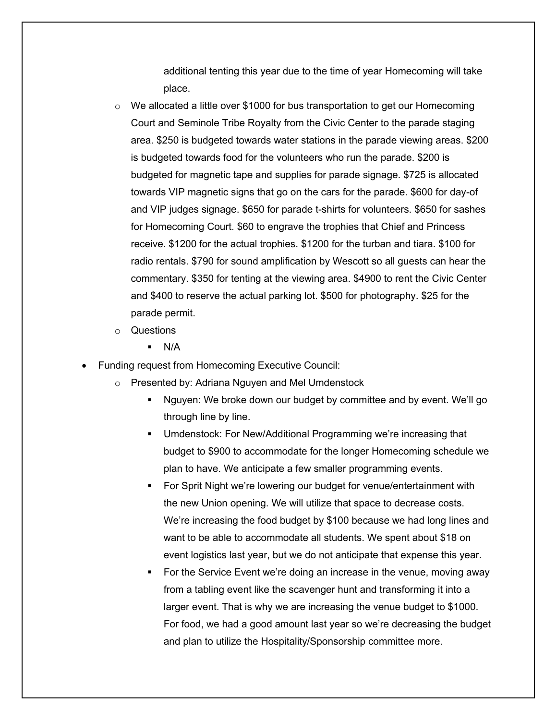additional tenting this year due to the time of year Homecoming will take place.

- $\circ$  We allocated a little over \$1000 for bus transportation to get our Homecoming Court and Seminole Tribe Royalty from the Civic Center to the parade staging area. \$250 is budgeted towards water stations in the parade viewing areas. \$200 is budgeted towards food for the volunteers who run the parade. \$200 is budgeted for magnetic tape and supplies for parade signage. \$725 is allocated towards VIP magnetic signs that go on the cars for the parade. \$600 for day-of and VIP judges signage. \$650 for parade t-shirts for volunteers. \$650 for sashes for Homecoming Court. \$60 to engrave the trophies that Chief and Princess receive. \$1200 for the actual trophies. \$1200 for the turban and tiara. \$100 for radio rentals. \$790 for sound amplification by Wescott so all guests can hear the commentary. \$350 for tenting at the viewing area. \$4900 to rent the Civic Center and \$400 to reserve the actual parking lot. \$500 for photography. \$25 for the parade permit.
- o Questions
	- $\blacksquare$  N/A
- Funding request from Homecoming Executive Council:
	- o Presented by: Adriana Nguyen and Mel Umdenstock
		- § Nguyen: We broke down our budget by committee and by event. We'll go through line by line.
		- Umdenstock: For New/Additional Programming we're increasing that budget to \$900 to accommodate for the longer Homecoming schedule we plan to have. We anticipate a few smaller programming events.
		- For Sprit Night we're lowering our budget for venue/entertainment with the new Union opening. We will utilize that space to decrease costs. We're increasing the food budget by \$100 because we had long lines and want to be able to accommodate all students. We spent about \$18 on event logistics last year, but we do not anticipate that expense this year.
		- For the Service Event we're doing an increase in the venue, moving away from a tabling event like the scavenger hunt and transforming it into a larger event. That is why we are increasing the venue budget to \$1000. For food, we had a good amount last year so we're decreasing the budget and plan to utilize the Hospitality/Sponsorship committee more.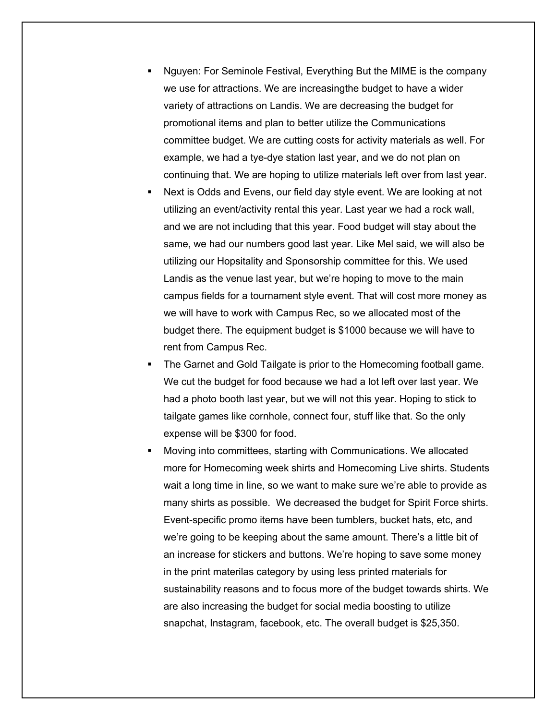- § Nguyen: For Seminole Festival, Everything But the MIME is the company we use for attractions. We are increasingthe budget to have a wider variety of attractions on Landis. We are decreasing the budget for promotional items and plan to better utilize the Communications committee budget. We are cutting costs for activity materials as well. For example, we had a tye-dye station last year, and we do not plan on continuing that. We are hoping to utilize materials left over from last year.
- Next is Odds and Evens, our field day style event. We are looking at not utilizing an event/activity rental this year. Last year we had a rock wall, and we are not including that this year. Food budget will stay about the same, we had our numbers good last year. Like Mel said, we will also be utilizing our Hopsitality and Sponsorship committee for this. We used Landis as the venue last year, but we're hoping to move to the main campus fields for a tournament style event. That will cost more money as we will have to work with Campus Rec, so we allocated most of the budget there. The equipment budget is \$1000 because we will have to rent from Campus Rec.
- The Garnet and Gold Tailgate is prior to the Homecoming football game. We cut the budget for food because we had a lot left over last year. We had a photo booth last year, but we will not this year. Hoping to stick to tailgate games like cornhole, connect four, stuff like that. So the only expense will be \$300 for food.
- § Moving into committees, starting with Communications. We allocated more for Homecoming week shirts and Homecoming Live shirts. Students wait a long time in line, so we want to make sure we're able to provide as many shirts as possible. We decreased the budget for Spirit Force shirts. Event-specific promo items have been tumblers, bucket hats, etc, and we're going to be keeping about the same amount. There's a little bit of an increase for stickers and buttons. We're hoping to save some money in the print materilas category by using less printed materials for sustainability reasons and to focus more of the budget towards shirts. We are also increasing the budget for social media boosting to utilize snapchat, Instagram, facebook, etc. The overall budget is \$25,350.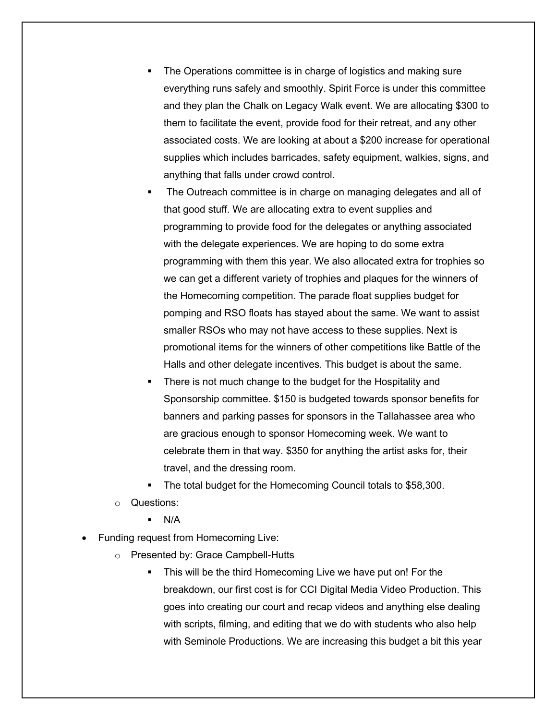- The Operations committee is in charge of logistics and making sure everything runs safely and smoothly. Spirit Force is under this committee and they plan the Chalk on Legacy Walk event. We are allocating \$300 to them to facilitate the event, provide food for their retreat, and any other associated costs. We are looking at about a \$200 increase for operational supplies which includes barricades, safety equipment, walkies, signs, and anything that falls under crowd control.
- § The Outreach committee is in charge on managing delegates and all of that good stuff. We are allocating extra to event supplies and programming to provide food for the delegates or anything associated with the delegate experiences. We are hoping to do some extra programming with them this year. We also allocated extra for trophies so we can get a different variety of trophies and plaques for the winners of the Homecoming competition. The parade float supplies budget for pomping and RSO floats has stayed about the same. We want to assist smaller RSOs who may not have access to these supplies. Next is promotional items for the winners of other competitions like Battle of the Halls and other delegate incentives. This budget is about the same.
- There is not much change to the budget for the Hospitality and Sponsorship committee. \$150 is budgeted towards sponsor benefits for banners and parking passes for sponsors in the Tallahassee area who are gracious enough to sponsor Homecoming week. We want to celebrate them in that way. \$350 for anything the artist asks for, their travel, and the dressing room.
- The total budget for the Homecoming Council totals to \$58,300.
- o Questions:
	- $N/A$
- Funding request from Homecoming Live:
	- o Presented by: Grace Campbell-Hutts
		- This will be the third Homecoming Live we have put on! For the breakdown, our first cost is for CCI Digital Media Video Production. This goes into creating our court and recap videos and anything else dealing with scripts, filming, and editing that we do with students who also help with Seminole Productions. We are increasing this budget a bit this year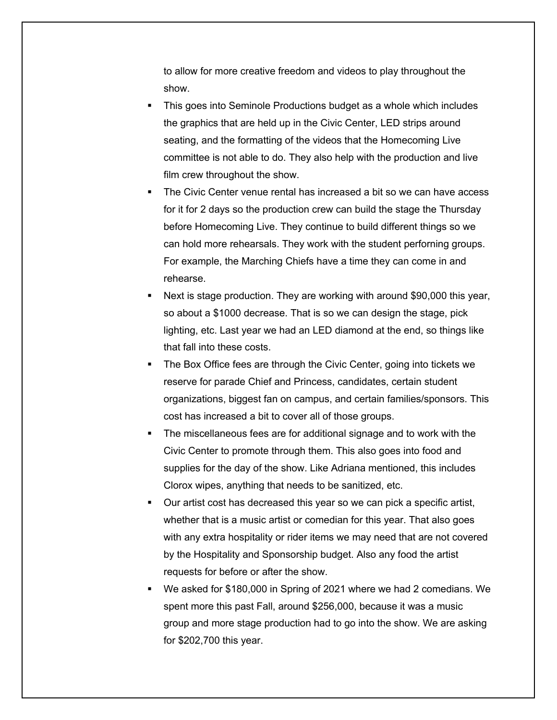to allow for more creative freedom and videos to play throughout the show.

- § This goes into Seminole Productions budget as a whole which includes the graphics that are held up in the Civic Center, LED strips around seating, and the formatting of the videos that the Homecoming Live committee is not able to do. They also help with the production and live film crew throughout the show.
- § The Civic Center venue rental has increased a bit so we can have access for it for 2 days so the production crew can build the stage the Thursday before Homecoming Live. They continue to build different things so we can hold more rehearsals. They work with the student perforning groups. For example, the Marching Chiefs have a time they can come in and rehearse.
- Next is stage production. They are working with around \$90,000 this year, so about a \$1000 decrease. That is so we can design the stage, pick lighting, etc. Last year we had an LED diamond at the end, so things like that fall into these costs.
- The Box Office fees are through the Civic Center, going into tickets we reserve for parade Chief and Princess, candidates, certain student organizations, biggest fan on campus, and certain families/sponsors. This cost has increased a bit to cover all of those groups.
- The miscellaneous fees are for additional signage and to work with the Civic Center to promote through them. This also goes into food and supplies for the day of the show. Like Adriana mentioned, this includes Clorox wipes, anything that needs to be sanitized, etc.
- § Our artist cost has decreased this year so we can pick a specific artist, whether that is a music artist or comedian for this year. That also goes with any extra hospitality or rider items we may need that are not covered by the Hospitality and Sponsorship budget. Also any food the artist requests for before or after the show.
- We asked for \$180,000 in Spring of 2021 where we had 2 comedians. We spent more this past Fall, around \$256,000, because it was a music group and more stage production had to go into the show. We are asking for \$202,700 this year.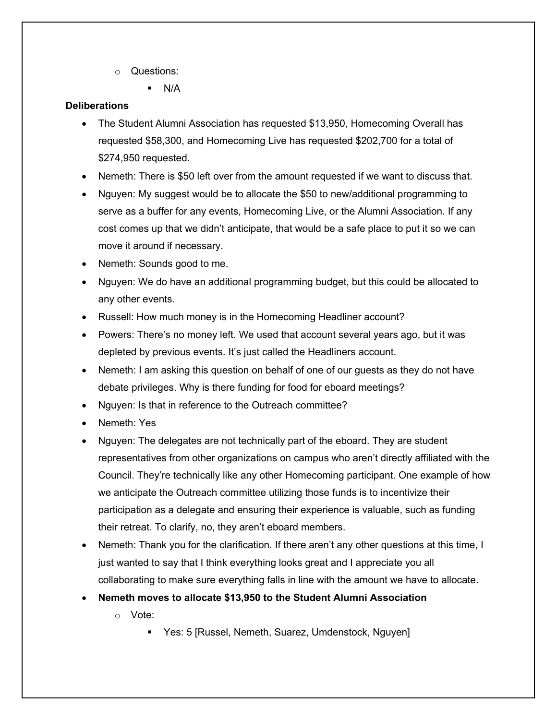o Questions:

 $\blacksquare$  N/A

# **Deliberations**

- The Student Alumni Association has requested \$13,950, Homecoming Overall has requested \$58,300, and Homecoming Live has requested \$202,700 for a total of \$274,950 requested.
- Nemeth: There is \$50 left over from the amount requested if we want to discuss that.
- Nguyen: My suggest would be to allocate the \$50 to new/additional programming to serve as a buffer for any events, Homecoming Live, or the Alumni Association. If any cost comes up that we didn't anticipate, that would be a safe place to put it so we can move it around if necessary.
- Nemeth: Sounds good to me.
- Nguyen: We do have an additional programming budget, but this could be allocated to any other events.
- Russell: How much money is in the Homecoming Headliner account?
- Powers: There's no money left. We used that account several years ago, but it was depleted by previous events. It's just called the Headliners account.
- Nemeth: I am asking this question on behalf of one of our guests as they do not have debate privileges. Why is there funding for food for eboard meetings?
- Nguyen: Is that in reference to the Outreach committee?
- Nemeth: Yes
- Nguyen: The delegates are not technically part of the eboard. They are student representatives from other organizations on campus who aren't directly affiliated with the Council. They're technically like any other Homecoming participant. One example of how we anticipate the Outreach committee utilizing those funds is to incentivize their participation as a delegate and ensuring their experience is valuable, such as funding their retreat. To clarify, no, they aren't eboard members.
- Nemeth: Thank you for the clarification. If there aren't any other questions at this time, I just wanted to say that I think everything looks great and I appreciate you all collaborating to make sure everything falls in line with the amount we have to allocate.
- **Nemeth moves to allocate \$13,950 to the Student Alumni Association**
	- o Vote:
		- Yes: 5 [Russel, Nemeth, Suarez, Umdenstock, Nguyen]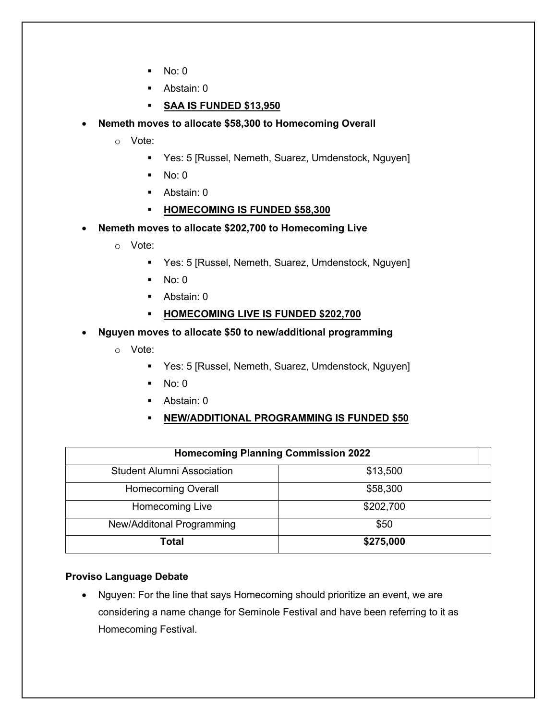- $\blacksquare$  No: 0
- Abstain: 0
- § **SAA IS FUNDED \$13,950**

# • **Nemeth moves to allocate \$58,300 to Homecoming Overall**

- o Vote:
	- § Yes: 5 [Russel, Nemeth, Suarez, Umdenstock, Nguyen]
	- $\blacksquare$  No: 0
	- Abstain: 0
	- § **HOMECOMING IS FUNDED \$58,300**
- **Nemeth moves to allocate \$202,700 to Homecoming Live**
	- o Vote:
		- § Yes: 5 [Russel, Nemeth, Suarez, Umdenstock, Nguyen]
		- $\blacksquare$  No: 0
		- § Abstain: 0
		- § **HOMECOMING LIVE IS FUNDED \$202,700**
- **Nguyen moves to allocate \$50 to new/additional programming**
	- o Vote:
		- Yes: 5 [Russel, Nemeth, Suarez, Umdenstock, Nguyen]
		- $\blacksquare$  No: 0
		- Abstain: 0
		- § **NEW/ADDITIONAL PROGRAMMING IS FUNDED \$50**

| <b>Homecoming Planning Commission 2022</b> |           |
|--------------------------------------------|-----------|
| <b>Student Alumni Association</b>          | \$13,500  |
| <b>Homecoming Overall</b>                  | \$58,300  |
| Homecoming Live                            | \$202,700 |
| New/Additonal Programming                  | \$50      |
| Total                                      | \$275,000 |

#### **Proviso Language Debate**

• Nguyen: For the line that says Homecoming should prioritize an event, we are considering a name change for Seminole Festival and have been referring to it as Homecoming Festival.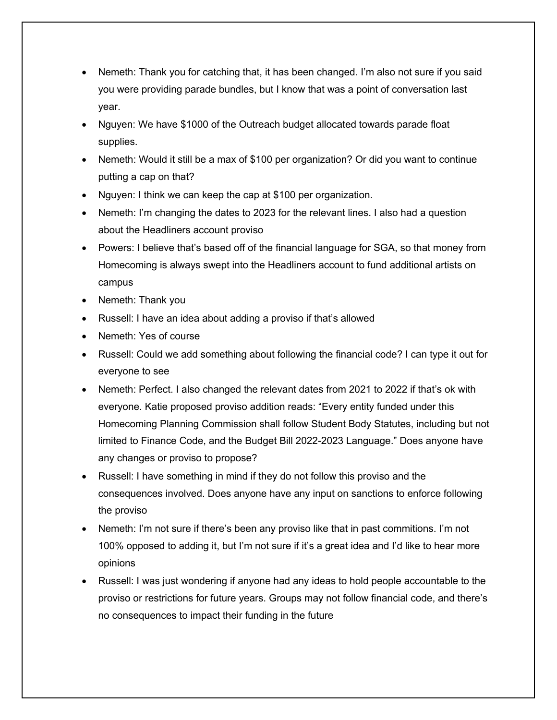- Nemeth: Thank you for catching that, it has been changed. I'm also not sure if you said you were providing parade bundles, but I know that was a point of conversation last year.
- Nguyen: We have \$1000 of the Outreach budget allocated towards parade float supplies.
- Nemeth: Would it still be a max of \$100 per organization? Or did you want to continue putting a cap on that?
- Nguyen: I think we can keep the cap at \$100 per organization.
- Nemeth: I'm changing the dates to 2023 for the relevant lines. I also had a question about the Headliners account proviso
- Powers: I believe that's based off of the financial language for SGA, so that money from Homecoming is always swept into the Headliners account to fund additional artists on campus
- Nemeth: Thank you
- Russell: I have an idea about adding a proviso if that's allowed
- Nemeth: Yes of course
- Russell: Could we add something about following the financial code? I can type it out for everyone to see
- Nemeth: Perfect. I also changed the relevant dates from 2021 to 2022 if that's ok with everyone. Katie proposed proviso addition reads: "Every entity funded under this Homecoming Planning Commission shall follow Student Body Statutes, including but not limited to Finance Code, and the Budget Bill 2022-2023 Language." Does anyone have any changes or proviso to propose?
- Russell: I have something in mind if they do not follow this proviso and the consequences involved. Does anyone have any input on sanctions to enforce following the proviso
- Nemeth: I'm not sure if there's been any proviso like that in past commitions. I'm not 100% opposed to adding it, but I'm not sure if it's a great idea and I'd like to hear more opinions
- Russell: I was just wondering if anyone had any ideas to hold people accountable to the proviso or restrictions for future years. Groups may not follow financial code, and there's no consequences to impact their funding in the future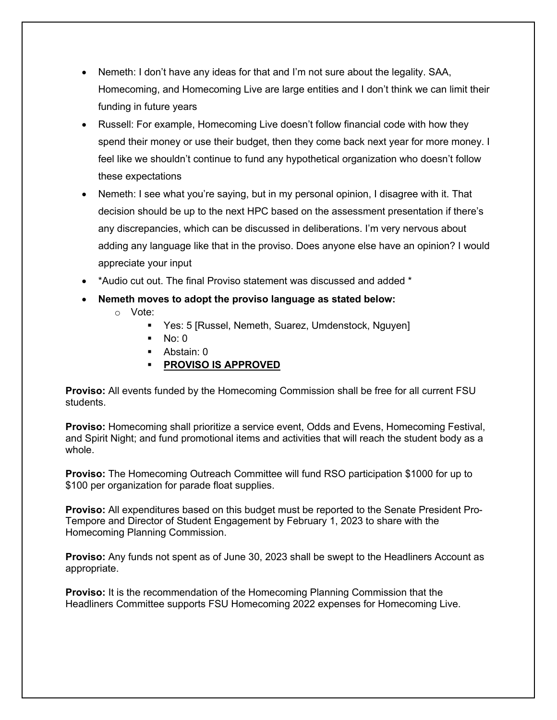- Nemeth: I don't have any ideas for that and I'm not sure about the legality. SAA, Homecoming, and Homecoming Live are large entities and I don't think we can limit their funding in future years
- Russell: For example, Homecoming Live doesn't follow financial code with how they spend their money or use their budget, then they come back next year for more money. I feel like we shouldn't continue to fund any hypothetical organization who doesn't follow these expectations
- Nemeth: I see what you're saying, but in my personal opinion, I disagree with it. That decision should be up to the next HPC based on the assessment presentation if there's any discrepancies, which can be discussed in deliberations. I'm very nervous about adding any language like that in the proviso. Does anyone else have an opinion? I would appreciate your input
- \*Audio cut out. The final Proviso statement was discussed and added \*
- **Nemeth moves to adopt the proviso language as stated below:**
	- o Vote:
		- Yes: 5 [Russel, Nemeth, Suarez, Umdenstock, Nguyen]
		- $No: 0$
		- § Abstain: 0
		- § **PROVISO IS APPROVED**

**Proviso:** All events funded by the Homecoming Commission shall be free for all current FSU students.

**Proviso:** Homecoming shall prioritize a service event, Odds and Evens, Homecoming Festival, and Spirit Night; and fund promotional items and activities that will reach the student body as a whole.

**Proviso:** The Homecoming Outreach Committee will fund RSO participation \$1000 for up to \$100 per organization for parade float supplies.

**Proviso:** All expenditures based on this budget must be reported to the Senate President Pro-Tempore and Director of Student Engagement by February 1, 2023 to share with the Homecoming Planning Commission.

**Proviso:** Any funds not spent as of June 30, 2023 shall be swept to the Headliners Account as appropriate.

**Proviso:** It is the recommendation of the Homecoming Planning Commission that the Headliners Committee supports FSU Homecoming 2022 expenses for Homecoming Live.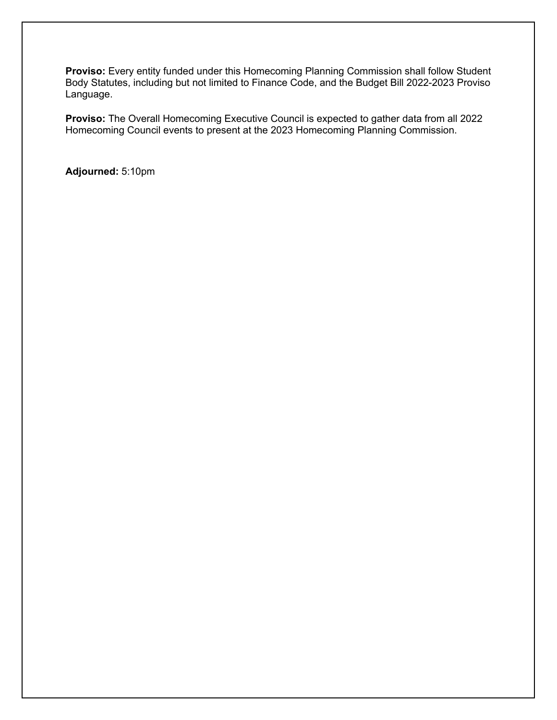**Proviso:** Every entity funded under this Homecoming Planning Commission shall follow Student Body Statutes, including but not limited to Finance Code, and the Budget Bill 2022-2023 Proviso Language.

**Proviso:** The Overall Homecoming Executive Council is expected to gather data from all 2022 Homecoming Council events to present at the 2023 Homecoming Planning Commission.

**Adjourned:** 5:10pm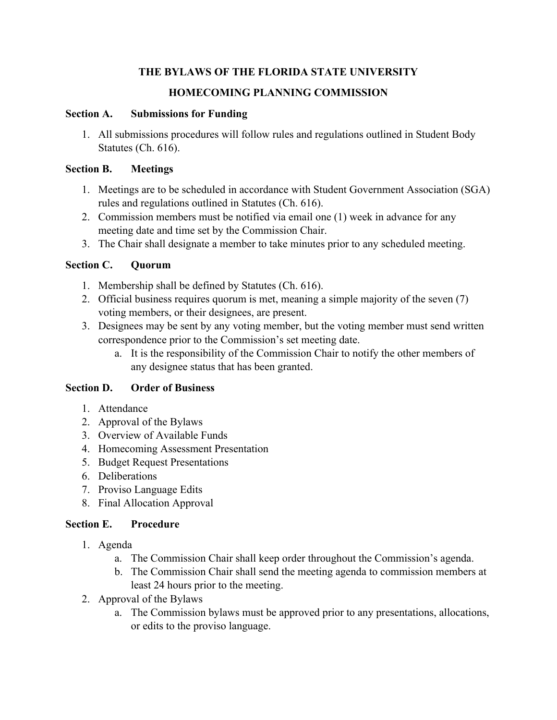# **THE BYLAWS OF THE FLORIDA STATE UNIVERSITY HOMECOMING PLANNING COMMISSION**

# **Section A. Submissions for Funding**

1. All submissions procedures will follow rules and regulations outlined in Student Body Statutes (Ch. 616).

### **Section B. Meetings**

- 1. Meetings are to be scheduled in accordance with Student Government Association (SGA) rules and regulations outlined in Statutes (Ch. 616).
- 2. Commission members must be notified via email one (1) week in advance for any meeting date and time set by the Commission Chair.
- 3. The Chair shall designate a member to take minutes prior to any scheduled meeting.

# **Section C. Quorum**

- 1. Membership shall be defined by Statutes (Ch. 616).
- 2. Official business requires quorum is met, meaning a simple majority of the seven (7) voting members, or their designees, are present.
- 3. Designees may be sent by any voting member, but the voting member must send written correspondence prior to the Commission's set meeting date.
	- a. It is the responsibility of the Commission Chair to notify the other members of any designee status that has been granted.

# **Section D. Order of Business**

- 1. Attendance
- 2. Approval of the Bylaws
- 3. Overview of Available Funds
- 4. Homecoming Assessment Presentation
- 5. Budget Request Presentations
- 6. Deliberations
- 7. Proviso Language Edits
- 8. Final Allocation Approval

# **Section E. Procedure**

- 1. Agenda
	- a. The Commission Chair shall keep order throughout the Commission's agenda.
	- b. The Commission Chair shall send the meeting agenda to commission members at least 24 hours prior to the meeting.
- 2. Approval of the Bylaws
	- a. The Commission bylaws must be approved prior to any presentations, allocations, or edits to the proviso language.